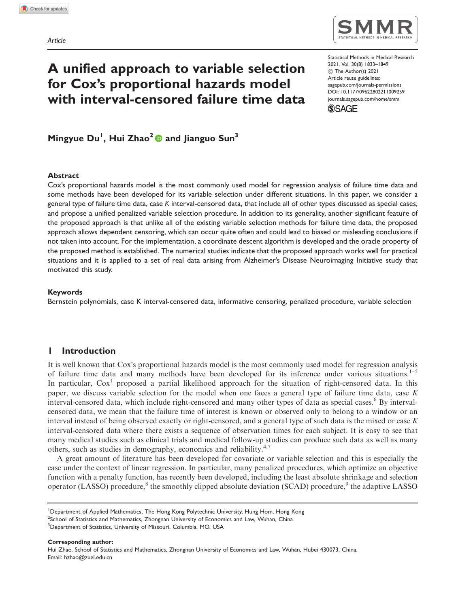# A unified approach to variable selection for Cox's proportional hazards model with interval-censored failure time data

Statistical Methods in Medical Research 2021, Vol. 30(8) 1833–1849! The Author(s) 2021 Article reuse guidelines: [sagepub.com/journals-permissions](http://uk.sagepub.com/en-gb/journals-permissions) [DOI: 10.1177/09622802211009259](http://dx.doi.org/10.1177/09622802211009259) <journals.sagepub.com/home/smm> **SSAGE** 

Mingyue Du<sup>l</sup>, Hui Zhao<sup>2</sup> @ and Jianguo Sun<sup>3</sup>

#### Abstract

Cox's proportional hazards model is the most commonly used model for regression analysis of failure time data and some methods have been developed for its variable selection under different situations. In this paper, we consider a general type of failure time data, case K interval-censored data, that include all of other types discussed as special cases, and propose a unified penalized variable selection procedure. In addition to its generality, another significant feature of the proposed approach is that unlike all of the existing variable selection methods for failure time data, the proposed approach allows dependent censoring, which can occur quite often and could lead to biased or misleading conclusions if not taken into account. For the implementation, a coordinate descent algorithm is developed and the oracle property of the proposed method is established. The numerical studies indicate that the proposed approach works well for practical situations and it is applied to a set of real data arising from Alzheimer's Disease Neuroimaging Initiative study that motivated this study.

## Keywords

Bernstein polynomials, case K interval-censored data, informative censoring, penalized procedure, variable selection

# 1 Introduction

It is well known that Cox's proportional hazards model is the most commonly used model for regression analysis of failure time data and many methods have been developed for its inference under various situations.<sup>1–5</sup> In particular,  $Cox<sup>1</sup>$  proposed a partial likelihood approach for the situation of right-censored data. In this paper, we discuss variable selection for the model when one faces a general type of failure time data, case  $K$ interval-censored data, which include right-censored and many other types of data as special cases.<sup>6</sup> By intervalcensored data, we mean that the failure time of interest is known or observed only to belong to a window or an interval instead of being observed exactly or right-censored, and a general type of such data is the mixed or case  $K$ interval-censored data where there exists a sequence of observation times for each subject. It is easy to see that many medical studies such as clinical trials and medical follow-up studies can produce such data as well as many others, such as studies in demography, economics and reliability.4,7

A great amount of literature has been developed for covariate or variable selection and this is especially the case under the context of linear regression. In particular, many penalized procedures, which optimize an objective function with a penalty function, has recently been developed, including the least absolute shrinkage and selection operator (LASSO) procedure,<sup>8</sup> the smoothly clipped absolute deviation (SCAD) procedure,<sup>9</sup> the adaptive LASSO

Corresponding author:

Hui Zhao, School of Statistics and Mathematics, Zhongnan University of Economics and Law, Wuhan, Hubei 430073, China. Email: [hzhao@zuel.edu.cn](mailto:hzhao@zuel.edu.cn)

<sup>&</sup>lt;sup>1</sup>Department of Applied Mathematics, The Hong Kong Polytechnic University, Hung Hom, Hong Kong

 $^2$ School of Statistics and Mathematics, Zhongnan University of Economics and Law, Wuhan, China

 $^3$ Department of Statistics, University of Missouri, Columbia, MO, USA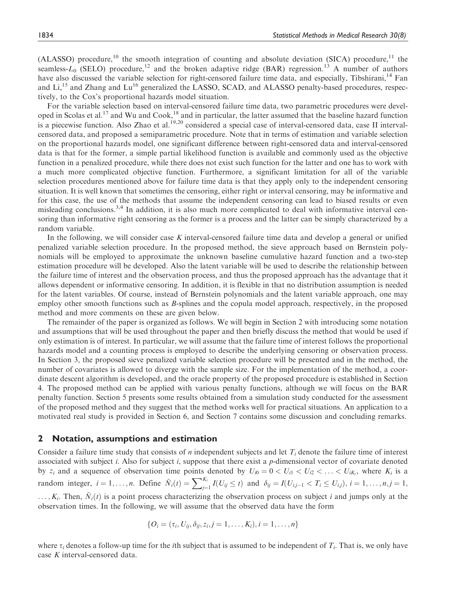(ALASSO) procedure,<sup>10</sup> the smooth integration of counting and absolute deviation (SICA) procedure,<sup>11</sup> the seamless- $L_0$  (SELO) procedure,<sup>12</sup> and the broken adaptive ridge (BAR) regression.<sup>13</sup> A number of authors have also discussed the variable selection for right-censored failure time data, and especially, Tibshirani,<sup>14</sup> Fan and Li,<sup>15</sup> and Zhang and Lu<sup>16</sup> generalized the LASSO, SCAD, and ALASSO penalty-based procedures, respectively, to the Cox's proportional hazards model situation.

For the variable selection based on interval-censored failure time data, two parametric procedures were developed in Scolas et al.<sup>17</sup> and Wu and Cook,<sup>18</sup> and in particular, the latter assumed that the baseline hazard function is a piecewise function. Also Zhao et al.<sup>19,20</sup> considered a special case of interval-censored data, case II intervalcensored data, and proposed a semiparametric procedure. Note that in terms of estimation and variable selection on the proportional hazards model, one significant difference between right-censored data and interval-censored data is that for the former, a simple partial likelihood function is available and commonly used as the objective function in a penalized procedure, while there does not exist such function for the latter and one has to work with a much more complicated objective function. Furthermore, a significant limitation for all of the variable selection procedures mentioned above for failure time data is that they apply only to the independent censoring situation. It is well known that sometimes the censoring, either right or interval censoring, may be informative and for this case, the use of the methods that assume the independent censoring can lead to biased results or even misleading conclusions.<sup>3,4</sup> In addition, it is also much more complicated to deal with informative interval censoring than informative right censoring as the former is a process and the latter can be simply characterized by a random variable.

In the following, we will consider case K interval-censored failure time data and develop a general or unified penalized variable selection procedure. In the proposed method, the sieve approach based on Bernstein polynomials will be employed to approximate the unknown baseline cumulative hazard function and a two-step estimation procedure will be developed. Also the latent variable will be used to describe the relationship between the failure time of interest and the observation process, and thus the proposed approach has the advantage that it allows dependent or informative censoring. In addition, it is flexible in that no distribution assumption is needed for the latent variables. Of course, instead of Bernstein polynomials and the latent variable approach, one may employ other smooth functions such as B-splines and the copula model approach, respectively, in the proposed method and more comments on these are given below.

The remainder of the paper is organized as follows. We will begin in Section 2 with introducing some notation and assumptions that will be used throughout the paper and then briefly discuss the method that would be used if only estimation is of interest. In particular, we will assume that the failure time of interest follows the proportional hazards model and a counting process is employed to describe the underlying censoring or observation process. In Section 3, the proposed sieve penalized variable selection procedure will be presented and in the method, the number of covariates is allowed to diverge with the sample size. For the implementation of the method, a coordinate descent algorithm is developed, and the oracle property of the proposed procedure is established in Section 4. The proposed method can be applied with various penalty functions, although we will focus on the BAR penalty function. Section 5 presents some results obtained from a simulation study conducted for the assessment of the proposed method and they suggest that the method works well for practical situations. An application to a motivated real study is provided in Section 6, and Section 7 contains some discussion and concluding remarks.

# 2 Notation, assumptions and estimation

Consider a failure time study that consists of n independent subjects and let  $T_i$  denote the failure time of interest associated with subject i. Also for subject i, suppose that there exist a p-dimensional vector of covariate denoted by  $z_i$  and a sequence of observation time points denoted by  $U_{i0} = 0 < U_{i1} < U_{i2} < \ldots < U_{iK_i}$ , where  $K_i$  is a random integer,  $i = 1, ..., n$ . Define  $\tilde{N}_i(t) = \sum_{j=1}^{K_i} I(U_{ij} \le t)$  and  $\delta_{ij} = I(U_{i,j-1} < T_i \le U_{i,j}), i = 1, ..., n, j = 1,$  $\ldots, K_i$ . Then,  $\tilde{N}_i(t)$  is a point process characterizing the observation process on subject i and jumps only at the observation times. In the following, we will assume that the observed data have the form

$$
\{O_i = (\tau_i, U_{ij}, \delta_{ij}, z_i, j = 1, \ldots, K_i), i = 1, \ldots, n\}
$$

where  $\tau_i$  denotes a follow-up time for the *i*th subject that is assumed to be independent of  $T_i$ . That is, we only have case K interval-censored data.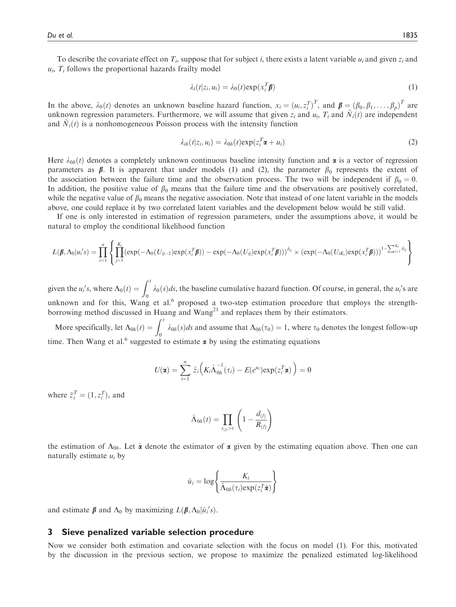To describe the covariate effect on  $T_i$ , suppose that for subject i, there exists a latent variable  $u_i$  and given  $z_i$  and  $u_i$ ,  $T_i$  follows the proportional hazards frailty model

$$
\lambda_i(t|z_i, u_i) = \lambda_0(t) \exp(x_i^T \beta)
$$
\n(1)

In the above,  $\lambda_0(t)$  denotes an unknown baseline hazard function,  $x_i = (u_i, z_i^T)^T$ , and  $\boldsymbol{\beta} = (\beta_0, \beta_1, \dots, \beta_p)^T$  are unknown regression parameters. Eurthermore, we will assume that given z, and  $u_i$ . T, and  $\tilde{N}_i(t)$ in the above,  $x_0(t)$  denotes an dinknown baseline hazard runction,  $x_i = (u_i, z_i)$ , and  $\mathbf{p} = (p_0, p_1, \dots, p_p)$  are independent<br>unknown regression parameters. Furthermore, we will assume that given  $z_i$  and  $u_i$ ,  $T_i$  and and  $\tilde{N}_i(t)$  is a nonhomogeneous Poisson process with the intensity function

$$
\lambda_{ih}(t|z_i, u_i) = \lambda_{0h}(t) \exp(z_i^T \boldsymbol{\alpha} + u_i)
$$
\n(2)

Here  $\lambda_{0h}(t)$  denotes a completely unknown continuous baseline intensity function and  $\alpha$  is a vector of regression parameters as  $\beta$ . It is apparent that under models (1) and (2), the parameter  $\beta_0$  represents the extent of the association between the failure time and the observation process. The two will be independent if  $\beta_0 = 0$ . In addition, the positive value of  $\beta_0$  means that the failure time and the observations are positively correlated, while the negative value of  $\beta_0$  means the negative association. Note that instead of one latent variable in the models above, one could replace it by two correlated latent variables and the development below would be still valid.

If one is only interested in estimation of regression parameters, under the assumptions above, it would be natural to employ the conditional likelihood function

$$
L(\boldsymbol{\beta}, \Lambda_0 | u_i's) = \prod_{i=1}^n \left\{ \prod_{j=1}^{K_i} (\exp(-\Lambda_0(U_{ij-1}) \exp(x_i^T \boldsymbol{\beta})) - \exp(-\Lambda_0(U_{ij}) \exp(x_i^T \boldsymbol{\beta})))^{\delta_{ij}} \times (\exp(-\Lambda_0(U_{iK_i}) \exp(x_i^T \boldsymbol{\beta})))^{1-\sum_{j=1}^{K_i} \delta_{ij}} \right\}
$$

given the  $u_i$ 's, where  $\Lambda_0(t) = \int_0^t \lambda_0(s)ds$ , the baseline cumulative hazard function. Of course, in general, the  $u_i$ 's are unknown and for this, Wang et al.<sup>6</sup> proposed a two-step estimation procedure that employs the strengthborrowing method discussed in Huang and  $Wang<sup>21</sup>$  and replaces them by their estimators.

More specifically, let  $\Lambda_{0h}(t) = \int_0^t \lambda_{0h}(s)ds$  and assume that  $\Lambda_{0h}(\tau_0) = 1$ , where  $\tau_0$  denotes the longest follow-up time. Then Wang et al.<sup>6</sup> suggested to estimate  $\alpha$  by using the estimating equations

$$
U(\boldsymbol{\alpha}) = \sum_{i=1}^n \tilde{z}_i \Big( K_i \hat{\Lambda}_{0h}^{-1}(\tau_i) - E(e^{u_i}) \exp(z_i^T \boldsymbol{\alpha}) \Big) = 0
$$

where  $\tilde{z}_i^T = (1, z_i^T)$ , and

$$
\hat{\Lambda}_{0h}(t) = \prod_{s_{(l)} > t} \left( 1 - \frac{d_{(l)}}{R_{(l)}} \right)
$$

the estimation of  $\Lambda_{0h}$ . Let  $\hat{\alpha}$  denote the estimator of  $\alpha$  given by the estimating equation above. Then one can naturally estimate  $u_i$  by

$$
\hat{u}_i = \log \left\{ \frac{K_i}{\hat{\Lambda}_{0h}(\tau_i) \exp(z_i^T \hat{\mathbf{x}})} \right\}
$$

and estimate  $\beta$  and  $\Lambda_0$  by maximizing  $L(\beta, \Lambda_0|\hat{u}_i^{\prime}s)$ .

#### 3 Sieve penalized variable selection procedure

Now we consider both estimation and covariate selection with the focus on model (1). For this, motivated by the discussion in the previous section, we propose to maximize the penalized estimated log-likelihood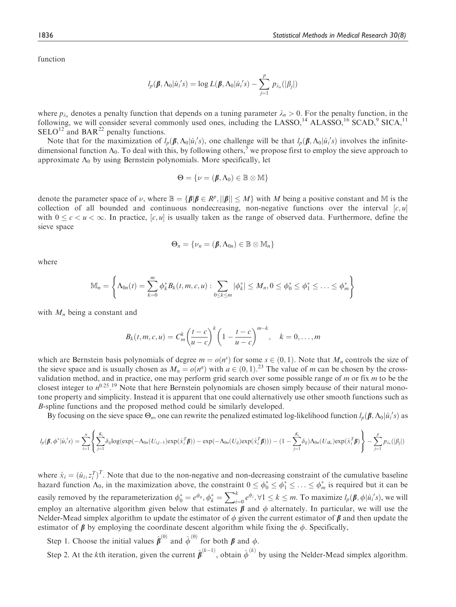function

$$
l_p(\boldsymbol{\beta}, \Lambda_0 | \hat{u}_i's) = \log L(\boldsymbol{\beta}, \Lambda_0 | \hat{u}_i's) - \sum_{j=1}^p p_{\lambda_n}(|\beta_j|)
$$

where  $p_{\lambda_n}$  denotes a penalty function that depends on a tuning parameter  $\lambda_n > 0$ . For the penalty function, in the following, we will consider several commonly used ones, including the LASSO,<sup>14</sup> ALASSO,<sup>16</sup> SCAD,<sup>9</sup> SICA,<sup>11</sup>  $\text{SELO}^{12}$  and  $\text{BAR}^{22}$  penalty functions.

Note that for the maximization of  $l_p(\beta, \Lambda_0 | \hat{u}_i's)$ , one challenge will be that  $l_p(\beta, \Lambda_0 | \hat{u}_i's)$  involves the infinite-<br>nensional function  $\Lambda_0$ . To deal with this, by following others <sup>5</sup> we propose first to empl dimensional function  $\Lambda_0$ . To deal with this, by following others,<sup>5</sup> we propose first to employ the sieve approach to approximate  $\Lambda_0$  by using Bernstein polynomials. More specifically, let

$$
\Theta = \{ \nu = (\beta, \Lambda_0) \in \mathbb{B} \otimes \mathbb{M} \}
$$

denote the parameter space of  $\nu$ , where  $\mathbb{B} = {\beta | \beta \in R^p, ||\beta|| \le M}$  with M being a positive constant and M is the collection of all bounded and continuous pondecreasing, non-negative functions over the interval [c w] collection of all bounded and continuous nondecreasing, non-negative functions over the interval  $[c, u]$ with  $0 \leq c < u < \infty$ . In practice,  $[c, u]$  is usually taken as the range of observed data. Furthermore, define the sieve space

$$
\Theta_n = \{\nu_n = (\beta, \Lambda_{0n}) \in \mathbb{B} \otimes \mathbb{M}_n\}
$$

where

$$
\mathbb{M}_n = \left\{ \Lambda_{0n}(t) = \sum_{k=0}^m \phi_k^* B_k(t, m, c, u) : \sum_{0 \le k \le m} |\phi_k^*| \le M_n, 0 \le \phi_0^* \le \phi_1^* \le \ldots \le \phi_m^* \right\}
$$

with  $M_n$  being a constant and

$$
B_k(t,m,c,u)=C_m^k\bigg(\frac{t-c}{u-c}\bigg)^k\bigg(1-\frac{t-c}{u-c}\bigg)^{m-k}, \quad k=0,\ldots,m
$$

which are Bernstein basis polynomials of degree  $m = o(n^s)$  for some  $s \in (0, 1)$ . Note that  $M_n$  controls the size of the size of the size and is usually chosen as  $M = o(n^a)$  with  $a \in (0, 1)$ . <sup>23</sup> The value of m can be chos the sieve space and is usually chosen as  $M_n = o(n^a)$  with  $a \in (0, 1).^{23}$  The value of m can be chosen by the cross-<br>validation method, and in practice, one may perform grid search over some possible range of m or fix m to validation method, and in practice, one may perform grid search over some possible range of  $m$  or fix  $m$  to be the closest integer to  $n^{0.25}$ .<sup>19</sup> Note that here Bernstein polynomials are chosen simply because of their natural monotone property and simplicity. Instead it is apparent that one could alternatively use other smooth functions such as B-spline functions and the proposed method could be similarly developed.

By focusing on the sieve space  $\Theta_n$ , one can rewrite the penalized estimated log-likelihood function  $l_p(\beta, \Lambda_0 | \hat{u}_i's)$  as

$$
l_p(\boldsymbol{\beta},\boldsymbol{\phi}^*|\hat{\boldsymbol{u}}_i's)=\sum_{i=1}^n\left\{\sum_{j=1}^{K_i}\delta_{ij}\text{log}(\text{exp}(-\Lambda_{0n}(U_{i,j-1})\text{exp}(\hat{\boldsymbol{x}}_i^T\boldsymbol{\beta}))- \text{exp}(-\Lambda_{0n}(U_{ij})\text{exp}(\hat{\boldsymbol{x}}_i^T\boldsymbol{\beta})))- (1-\sum_{j=1}^{K_i}\delta_{ij})\Lambda_{0n}(U_{iK_i})\text{exp}(\hat{\boldsymbol{x}}_i^T\boldsymbol{\beta})\right\}-\sum_{j=1}^p p_{\lambda_n}(|\beta_j|)
$$

where  $\hat{x}_i = (\hat{u}_i, z_i^T)^T$ . Note that due to the non-negative and non-decreasing constraint of the cumulative baseline<br>hazard function  $\Lambda_s$  in the maximization above, the constraint  $0 \leq \Lambda^* \leq \Lambda^* \leq \Lambda^*$  is required where  $x_i - (u_i, z_i)$ . Note that the to the hon-hegative and hon-decreasing constraint of the cumulative baseline<br>hazard function  $\Lambda_0$ , in the maximization above, the constraint  $0 \le \phi_0^* \le \phi_1^* \le ... \le \phi_m^*$  is required bu easily removed by the reparameterization  $\phi_0^* = e^{\phi_0}$ ,  $\phi_k^* = \sum_{i=0}^k e^{\phi_i}$ ,  $\forall 1 \le k \le m$ . To maximize  $l_p(\beta, \phi | \hat{u}_i's)$ , we will employ an alternative algorithm given below that estimates  $\beta$  and  $\phi$  alternately. In particular, we will use the Nelder-Mead simplex algorithm to update the estimator of  $\phi$  given the current estimator of  $\beta$  and then update the estimator of  $\beta$  by employing the coordinate descent algorithm while fixing the  $\phi$ . Specifically,

Step 1. Choose the initial values  $\hat{\boldsymbol{\beta}}^{(0)}$  and  $\hat{\boldsymbol{\phi}}^{(0)}$  for both  $\boldsymbol{\beta}$  and  $\phi$ .

Step 2. At the kth iteration, given the current  $\hat{\beta}^{(k-1)}$ , obtain  $\hat{\phi}^{(k)}$  by using the Nelder-Mead simplex algorithm.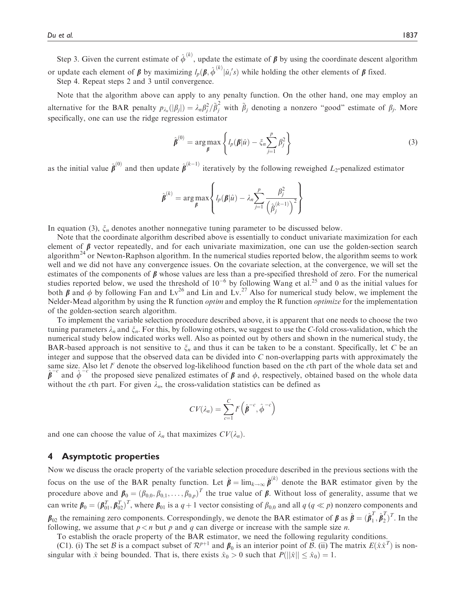Step 3. Given the current estimate of  $\hat{\phi}^{(k)}$ , update the estimate of  $\beta$  by using the coordinate descent algorithm or update each element of  $\beta$  by maximizing  $l_p(\beta, \hat{\phi}^{(k)} | \hat{u}_i's)$  while holding the other elements of  $\beta$  fixed.<br>Step 4. Repeat steps 2 and 3 until convergence

Step 4. Repeat steps 2 and 3 until convergence.

Note that the algorithm above can apply to any penalty function. On the other hand, one may employ an alternative for the BAR penalty  $p_{\lambda_n}(|\beta_j|) = \lambda_n \beta_j^2 / \tilde{\beta}_j^2$  with  $\tilde{\beta}_j$  denoting a nonzero "good" estimate of  $\beta_j$ . More specifically, one can use the ridge regression estimator

$$
\hat{\boldsymbol{\beta}}^{(0)} = \arg \max_{\boldsymbol{\beta}} \left\{ l_p(\boldsymbol{\beta}|\hat{u}) - \xi_n \sum_{j=1}^p \beta_j^2 \right\} \tag{3}
$$

as the initial value  $\hat{\pmb{\beta}}^{(0)}$  and then update  $\hat{\pmb{\beta}}^{(k-1)}$  iteratively by the following reweighed  $L_2$ -penalized estimator

$$
\hat{\boldsymbol{\beta}}^{(k)} = \arg \max_{\boldsymbol{\beta}} \left\{ l_p(\boldsymbol{\beta}|\hat{u}) - \lambda_n \sum_{j=1}^p \frac{\beta_j^2}{\left(\hat{\beta}_j^{(k-1)}\right)^2} \right\}
$$

In equation (3),  $\xi_n$  denotes another nonnegative tuning parameter to be discussed below.

Note that the coordinate algorithm described above is essentially to conduct univariate maximization for each element of  $\beta$  vector repeatedly, and for each univariate maximization, one can use the golden-section search algorithm<sup>24</sup> or Newton-Raphson algorithm. In the numerical studies reported below, the algorithm seems to work well and we did not have any convergence issues. On the covariate selection, at the convergence, we will set the estimates of the components of  $\beta$  whose values are less than a pre-specified threshold of zero. For the numerical studies reported below, we used the threshold of  $10^{-6}$  by following Wang et al.<sup>25</sup> and 0 as the initial values for both  $\beta$  and  $\phi$  by following Fan and Lv<sup>26</sup> and Lin and Lv.<sup>27</sup> Also for numerical study below, we implement the Nelder-Mead algorithm by using the R function optim and employ the R function optimize for the implementation of the golden-section search algorithm.

To implement the variable selection procedure described above, it is apparent that one needs to choose the two tuning parameters  $\lambda_n$  and  $\xi_n$ . For this, by following others, we suggest to use the C-fold cross-validation, which the numerical study below indicated works well. Also as pointed out by others and shown in the numerical study, the BAR-based approach is not sensitive to  $\xi_n$  and thus it can be taken to be a constant. Specifically, let C be an integer and suppose that the observed data can be divided into  $C$  non-overlapping parts with approximately the same size. Also let  $l^c$  denote the observed log-likelihood function based on the cth part of the whole data set and  $\hat{\beta}^{-c}$  and  $\hat{\phi}^{-c}$  the proposed sieve penalized estimates of  $\beta$  and  $\phi$ , respectively, obtained based on the whole data without the cth part. For given  $\lambda_n$ , the cross-validation statistics can be defined as

$$
CV(\lambda_n) = \sum_{c=1}^{C} F\left(\hat{\beta}^{-c}, \hat{\phi}^{-c}\right)
$$

and one can choose the value of  $\lambda_n$  that maximizes  $CV(\lambda_n)$ .

## 4 Asymptotic properties

Now we discuss the oracle property of the variable selection procedure described in the previous sections with the focus on the use of the BAR penalty function. Let  $\hat{\beta} = \lim_{k \to \infty} \hat{\beta}^{(k)}$  denote the BAR estimator given by the procedure above and  $\beta_0 = (\beta_{0,0}, \beta_{0,1}, \dots, \beta_{0,p})^T$  the true value of  $\beta$ . Without loss of generality, assume that we can write  $\beta_0 = (\beta_{01}^T, \beta_{02}^T)^T$ , where  $\beta_{01}$  is a  $q + 1$  vector consisting of  $\beta_{0,0}$  and all  $q$  ( $q \ll p$ ) nonzero components and  $\beta_{02}$  the remaining zero components. Correspondingly, we denote the BAR estimator of  $\beta$  as  $\hat{\beta} = (\hat{\beta}_1^T, \hat{\beta}_2^T)^T$ . In the following we assume that  $n \leq n$  but a and a can diverge or increase with the sample size following, we assume that  $p < n$  but p and q can diverge or increase with the sample size n.

To establish the oracle property of the BAR estimator, we need the following regularity conditions.

(C1). (i) The set B is a compact subset of  $\mathcal{R}^{p+1}$  and  $\beta_0$  is an interior point of B. (ii) The matrix  $E(\hat{x}\hat{x}^T)$  is nonsingular with  $\hat{x}$  being bounded. That is, there exists  $\hat{x}_0 > 0$  such that  $P(||\hat{x}|| \le \hat{x}_0) = 1$ .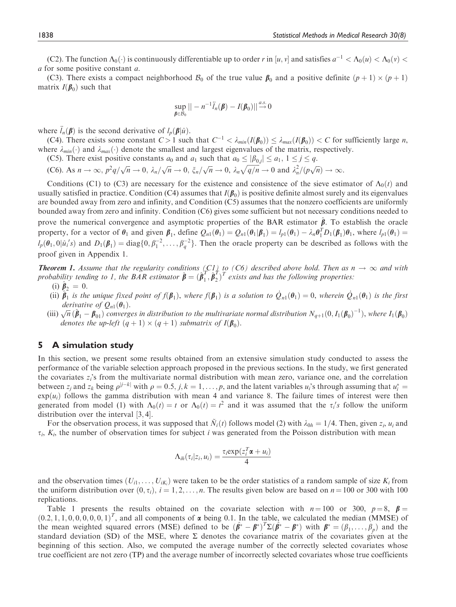(C2). The function  $\Lambda_0(\cdot)$  is continuously differentiable up to order r in [u, v] and satisfies  $a^{-1} < \Lambda_0(u) < \Lambda_0(v)$  < a for some positive constant a.

(C3). There exists a compact neighborhood  $\mathcal{B}_0$  of the true value  $\beta_0$  and a positive definite  $(p+1) \times (p+1)$ matrix  $I(\boldsymbol{\beta}_0)$  such that

$$
\sup_{\boldsymbol{\beta}\in\mathcal{B}_0}||-n^{-1}\ddot{I}_n(\boldsymbol{\beta})-I(\boldsymbol{\beta}_0)|| \stackrel{a.s.}{\to} 0
$$

where  $\ddot{l}_n(\boldsymbol{\beta})$  is the second derivative of  $l_p(\boldsymbol{\beta}|\hat{u})$ .

(C4). There exists some constant  $C > 1$  such that  $C^{-1} < \lambda_{min}(I(\beta_0)) \leq \lambda_{max}(I(\beta_0)) < C$  for sufficiently large *n*, ere  $\lambda_{min}(\lambda)$  and  $\lambda_{min}(\lambda)$  denote the smallest and largest eigenvalues of the matrix respectively. where  $\lambda_{min}(\cdot)$  and  $\lambda_{max}(\cdot)$  denote the smallest and largest eigenvalues of the matrix, respectively.

(C5). There exist positive constants  $a_0$  and  $a_1$  such that  $a_0 \leq |\beta_{0,j}| \leq a_1$ ,  $1 \leq j \leq q$ .

(C6). As  $n \to \infty$ ,  $p^2q/\sqrt{n} \to 0$ ,  $\lambda_n/\sqrt{n} \to 0$ ,  $\xi_n/\sqrt{n} \to 0$ ,  $\lambda_n\sqrt{q/n} \to 0$  and  $\lambda_n^2/(p\sqrt{n}) \to \infty$ .

Conditions (C1) to (C3) are necessary for the existence and consistence of the sieve estimator of  $\Lambda_0(t)$  and usually satisfied in practice. Condition (C4) assumes that  $I(\beta_0)$  is positive definite almost surely and its eigenvalues are bounded away from zero and infinity, and Condition (C5) assumes that the nonzero coefficients are uniformly bounded away from zero and infinity. Condition (C6) gives some sufficient but not necessary conditions needed to prove the numerical convergence and asymptotic properties of the BAR estimator  $\hat{\beta}$ . To establish the oracle property, for a vector of  $\theta_1$  and given  $\beta_1$ , define  $Q_{n1}(\theta_1) = Q_{n1}(\theta_1|\beta_1) = l_{p1}(\theta_1) - \lambda_n \theta_1^T D_1(\beta_1)\theta_1$ , where  $l_{p1}(\theta_1) =$ <br> $l_{p1}(\theta_1)$  and  $D_{p1}(\theta_1)$ , diabilo  $\theta_1^2 = \theta_1^2$ . Then the agas magnety as h  $l_p(\theta_1, 0 | \hat{u}_i's)$  and  $D_1(\beta_1) = \text{diag}\{0, \beta_1^{-2}, \dots, \beta_q^{-2}\}\.$  Then the oracle property can be described as follows with the proof given in Appendix 1.

**Theorem 1.** Assume that the regularity conditions (C1) to (C6) described above hold. Then as  $n \to \infty$  and with probability tending to 1, the BAR estimator  $\hat{\boldsymbol{\beta}} = (\hat{\boldsymbol{\beta}}_1^T, \hat{\boldsymbol{\beta}}_2^T)^T$  exists and has the followi (i)  $\beta_2 = 0$ .

- (ii)  $\hat{\beta}_1$  is the unique fixed point of  $f(\beta_1)$ , where  $f(\beta_1)$  is a solution to  $\dot{Q}_{n1}(\theta_1) = 0$ , wherein  $\dot{Q}_{n1}(\theta_1)$  is the first derivative of  $Q_n(\theta_1)$ . derivative of  $Q_{n1}(\theta_1)$ .
- (iii)  $\sqrt{n} (\hat{\boldsymbol{\beta}}_1 \boldsymbol{\beta}_{01})$  converges in distribution to the multivariate normal distribution  $N_{q+1}(0, I_1(\boldsymbol{\beta}_0)^{-1})$ , where  $I_1(\boldsymbol{\beta}_0)$  denotes the un-left  $(a+1) \times (a+1)$  submatrix of  $I(\boldsymbol{\beta}_0)$ denotes the up-left  $(q + 1) \times (q + 1)$  submatrix of  $I(\beta_0)$ .

# 5 A simulation study

In this section, we present some results obtained from an extensive simulation study conducted to assess the performance of the variable selection approach proposed in the previous sections. In the study, we first generated the covariates  $z_i$ 's from the multivariate normal distribution with mean zero, variance one, and the correlation between  $z_i$  and  $z_k$  being  $\rho^{j-k}$  with  $\rho = 0.5$ ,  $j, k = 1, \ldots, p$ , and the latent variables  $u_i$ 's through assuming that  $u_i^* =$ between  $z_j$  and  $z_k$  being  $p^2$  with  $p = 0.5$ ,  $j, \kappa = 1, ..., p$ , and the factor variables  $u_i$ 's through assuming that  $u_i = \exp(u_i)$  follows the gamma distribution with mean 4 and variance 8. The failure times of interest wer generated from model (1) with  $\Lambda_0(t) = t$  or  $\Lambda_0(t) = t^2$  and it was assumed that the  $\tau_i$ 's follow the uniform distribution over the interval [3, 4] distribution over the interval  $[3, 4]$ .

For the observation process, it was supposed that  $\tilde{N}_i(t)$  follows model (2) with  $\lambda_{0h} = 1/4$ . Then, given  $z_i$ ,  $u_i$  and  $\tau_i$ ,  $K_i$ , the number of observation times for subject i was generated from the Poisson distribution with mean

$$
\Lambda_{ih}(\tau_i|z_i,u_i)=\frac{\tau_i\exp(z_i^T\alpha+u_i)}{4}
$$

and the observation times  $(U_{i1},...,U_{iK_i})$  were taken to be the order statistics of a random sample of size  $K_i$  from<br>the uniform distribution over  $(0, \tau)$ ,  $i-1, 2, \ldots, n$ . The results given below are based on  $n-100$  or 3 the uniform distribution over  $(0, \tau_i)$ ,  $i = 1, 2, \ldots, n$ . The results given below are based on  $n = 100$  or 300 with 100 replications.

Table 1 presents the results obtained on the covariate selection with  $n = 100$  or 300,  $p = 8$ ,  $\beta =$  $(0.2, 1, 1, 0, 0, 0, 0, 1)^T$ , and all components of  $\alpha$  being 0.1. In the table, we calculated the median (MMSE) of the mean weighted squared errors (MSE) defined to be  $(\hat{\mathbf{k}}^* - \mathbf{k}^*)^T \Sigma (\hat{\mathbf{k}}^* - \mathbf{k}^*)$  with  $\mathbf$ the mean weighted squared errors (MSE) defined to be  $(\hat{\beta}^* - \beta^*)^T \Sigma (\hat{\beta}^* - \beta^*)$  with  $\beta^* = (\beta_1, \dots, \beta_p)$  and the standard deviation (SD) of the MSE where  $\Sigma$  denotes the covariance matrix of the covariates given at t standard deviation (SD) of the MSE, where  $\Sigma$  denotes the covariance matrix of the covariates given at the beginning of this section. Also, we computed the average number of the correctly selected covariates whose true coefficient are not zero (TP) and the average number of incorrectly selected covariates whose true coefficients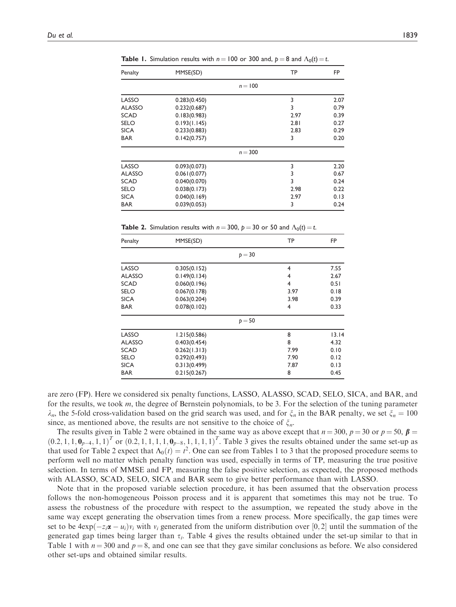| Penalty     | MMSE(SD)     |           | <b>TP</b> | <b>FP</b> |
|-------------|--------------|-----------|-----------|-----------|
|             |              | $n = 100$ |           |           |
| LASSO       | 0.283(0.450) |           | 3         | 2.07      |
| ALASSO      | 0.232(0.687) |           | 3         | 0.79      |
| SCAD        | 0.183(0.983) | 2.97      | 0.39      |           |
| SELO        | 0.193(1.145) |           | 2.81      | 0.27      |
| <b>SICA</b> | 0.233(0.883) |           | 2.83      | 0.29      |
| <b>BAR</b>  | 0.142(0.757) |           | 3         | 0.20      |
|             |              | $n = 300$ |           |           |
| LASSO       | 0.093(0.073) |           | 3         | 2.20      |
| ALASSO      | 0.061(0.077) |           | 3         | 0.67      |
| SCAD        | 0.040(0.070) |           | 3         | 0.24      |
| SELO        | 0.038(0.173) |           | 2.98      | 0.22      |
| SICA        | 0.040(0.169) |           | 2.97      | 0.13      |
| <b>BAR</b>  | 0.039(0.053) |           | 3         | 0.24      |
|             |              |           |           |           |

**Table 1.** Simulation results with  $n = 100$  or 300 and,  $p = 8$  and  $\Lambda_0(t) = t$ .

**Table 2.** Simulation results with  $n = 300$ ,  $p = 30$  or 50 and  $\Lambda_0(t) = t$ .

| Penalty       | MMSE(SD)     | TP       | <b>FP</b> |       |
|---------------|--------------|----------|-----------|-------|
|               |              | $p = 30$ |           |       |
| LASSO         | 0.305(0.152) |          | 4         | 7.55  |
| <b>ALASSO</b> | 0.149(0.134) |          | 2.67      |       |
| <b>SCAD</b>   | 0.060(0.196) |          | 0.51      |       |
| <b>SELO</b>   | 0.067(0.178) | 0.18     |           |       |
| <b>SICA</b>   | 0.063(0.204) | 0.39     |           |       |
| <b>BAR</b>    | 0.078(0.102) |          | 4         | 0.33  |
|               |              | $p = 50$ |           |       |
| LASSO         | 1.215(0.586) |          | 8         | 13.14 |
| <b>ALASSO</b> | 0.403(0.454) |          | 8         | 4.32  |
| <b>SCAD</b>   | 0.262(1.313) | 7.99     | 0.10      |       |
| <b>SELO</b>   | 0.292(0.493) | 7.90     | 0.12      |       |
| <b>SICA</b>   | 0.313(0.499) |          | 7.87      | 0.13  |
| <b>BAR</b>    | 0.215(0.267) |          | 8         | 0.45  |

are zero (FP). Here we considered six penalty functions, LASSO, ALASSO, SCAD, SELO, SICA, and BAR, and for the results, we took m, the degree of Bernstein polynomials, to be 3. For the selection of the tuning parameter  $\lambda_n$ , the 5-fold cross-validation based on the grid search was used, and for  $\xi_n$  in the BAR penalty, we set  $\xi_n = 100$ since, as mentioned above, the results are not sensitive to the choice of  $\xi_n$ .

The results given in Table 2 were obtained in the same way as above except that  $n = 300$ ,  $p = 30$  or  $p = 50$ ,  $\beta = 2.1 \pm 0$ ,  $\mu = 10^{-1}$  or  $(0.2 \pm 1.1 \pm 1.0)$ ,  $p = 1.1 \pm 1.1$ , Table 3 gives the results obtained under the  $(0.2, 1, 1, 0<sub>p-4</sub>, 1, 1)<sup>T</sup>$  or  $(0.2, 1, 1, 1, 1, 1, 0<sub>p-8</sub>, 1, 1, 1, 1)<sup>T</sup>$ . Table 3 gives the results obtained under the same set-up as that used for Table 2 expect that  $\Lambda_0(t) = t^2$ . One can see from Tables 1 to 3 that the proposed procedure seems to perform well no matter which penalty function was used especially in terms of TP measuring the true posit perform well no matter which penalty function was used, especially in terms of TP, measuring the true positive selection. In terms of MMSE and FP, measuring the false positive selection, as expected, the proposed methods with ALASSO, SCAD, SELO, SICA and BAR seem to give better performance than with LASSO.

Note that in the proposed variable selection procedure, it has been assumed that the observation process follows the non-homogeneous Poisson process and it is apparent that sometimes this may not be true. To assess the robustness of the procedure with respect to the assumption, we repeated the study above in the same way except generating the observation times from a renew process. More specifically, the gap times were set to be  $4exp(-z_i\alpha - u_i)v_i$  with  $v_i$  generated from the uniform distribution over [0, 2] until the summation of the generated gap times being larger than  $\tau_i$ . Table 4 gives the results obtained under the set-up similar to that in Table 1 with  $n = 300$  and  $p = 8$ , and one can see that they gave similar conclusions as before. We also considered other set-ups and obtained similar results.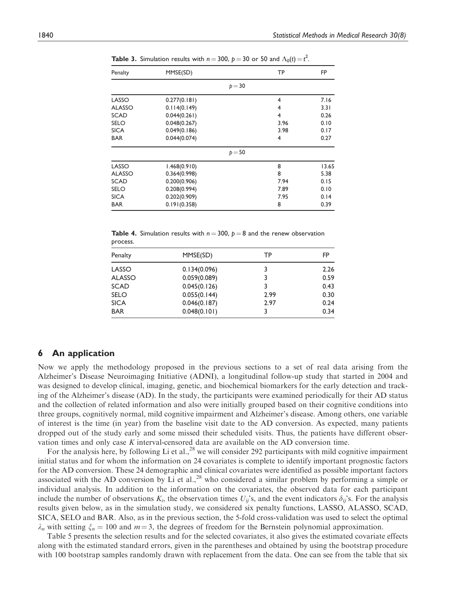| Penalty       | MMSE(SD)     | TP       | <b>FP</b> |       |
|---------------|--------------|----------|-----------|-------|
|               |              | $p = 30$ |           |       |
| LASSO         | 0.277(0.181) |          | 4         | 7.16  |
| <b>ALASSO</b> | 0.114(0.149) | 3.31     |           |       |
| <b>SCAD</b>   | 0.044(0.261) | 0.26     |           |       |
| <b>SELO</b>   | 0.048(0.267) | 3.96     | 0.10      |       |
| <b>SICA</b>   | 0.049(0.186) | 3.98     | 0.17      |       |
| <b>BAR</b>    | 0.044(0.074) | 4        | 0.27      |       |
|               |              | $p = 50$ |           |       |
| LASSO         | 1.468(0.910) |          | 8         | 13.65 |
| <b>ALASSO</b> | 0.364(0.998) |          | 8         | 5.38  |
| <b>SCAD</b>   | 0.200(0.906) | 7.94     | 0.15      |       |
| <b>SELO</b>   | 0.208(0.994) | 7.89     | 0.10      |       |
| <b>SICA</b>   | 0.202(0.909) |          | 7.95      | 0.14  |
| <b>BAR</b>    | 0.191(0.358) |          | 8         | 0.39  |

**Table 3.** Simulation results with  $n = 300$ ,  $p = 30$  or 50 and  $\Lambda_0(t) = t^2$ .

**Table 4.** Simulation results with  $n = 300$ ,  $p = 8$  and the renew observation process.

| Penalty       | MMSE(SD)     | TP   | FP   |
|---------------|--------------|------|------|
| LASSO         | 0.134(0.096) | 3    | 2.26 |
| <b>ALASSO</b> | 0.059(0.089) | 3    | 0.59 |
| <b>SCAD</b>   | 0.045(0.126) | 3    | 0.43 |
| <b>SELO</b>   | 0.055(0.144) | 2.99 | 0.30 |
| <b>SICA</b>   | 0.046(0.187) | 2.97 | 0.24 |
| <b>BAR</b>    | 0.048(0.101) |      | 0.34 |

# 6 An application

Now we apply the methodology proposed in the previous sections to a set of real data arising from the Alzheimer's Disease Neuroimaging Initiative (ADNI), a longitudinal follow-up study that started in 2004 and was designed to develop clinical, imaging, genetic, and biochemical biomarkers for the early detection and tracking of the Alzheimer's disease (AD). In the study, the participants were examined periodically for their AD status and the collection of related information and also were initially grouped based on their cognitive conditions into three groups, cognitively normal, mild cognitive impairment and Alzheimer's disease. Among others, one variable of interest is the time (in year) from the baseline visit date to the AD conversion. As expected, many patients dropped out of the study early and some missed their scheduled visits. Thus, the patients have different observation times and only case K interval-censored data are available on the AD conversion time.

For the analysis here, by following Li et al.,<sup>28</sup> we will consider 292 participants with mild cognitive impairment initial status and for whom the information on 24 covariates is complete to identify important prognostic factors for the AD conversion. These 24 demographic and clinical covariates were identified as possible important factors associated with the AD conversion by Li et al.,<sup>28</sup> who considered a similar problem by performing a simple or individual analysis. In addition to the information on the covariates, the observed data for each participant include the number of observations  $K_i$ , the observation times  $U_{ij}$ 's, and the event indicators  $\delta_{ij}$ 's. For the analysis results given below, as in the simulation study, we considered six penalty functions, LASSO, ALASSO, SCAD, SICA, SELO and BAR. Also, as in the previous section, the 5-fold cross-validation was used to select the optimal  $\lambda_n$  with setting  $\xi_n = 100$  and  $m = 3$ , the degrees of freedom for the Bernstein polynomial approximation.

Table 5 presents the selection results and for the selected covariates, it also gives the estimated covariate effects along with the estimated standard errors, given in the parentheses and obtained by using the bootstrap procedure with 100 bootstrap samples randomly drawn with replacement from the data. One can see from the table that six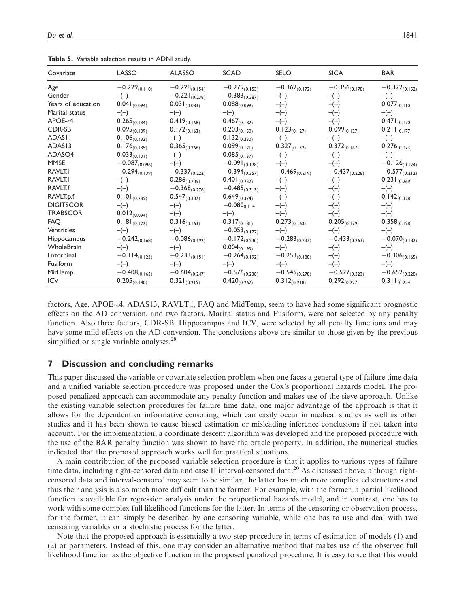| Covariate          | LASSO              | <b>ALASSO</b>      | <b>SCAD</b>        | <b>SELO</b>        | <b>SICA</b>        | <b>BAR</b>         |
|--------------------|--------------------|--------------------|--------------------|--------------------|--------------------|--------------------|
| Age                | $-0.229_{(0.110)}$ | $-0.228_{(0.154)}$ | $-0.279_{(0.153)}$ | $-0.362_{(0.172)}$ | $-0.356_{(0.178)}$ | $-0.322_{(0.152)}$ |
| Gender             | $-(-)$             | $-0.221_{(0.238)}$ | $-0.383_{(0.287)}$ | $-(-)$             | $-(-)$             | $-(-)$             |
| Years of education | $0.041_{(0.094)}$  | $0.031_{(0.083)}$  | $0.088_{(0.099)}$  | $-(-)$             | $-(-)$             | $0.077_{(0.110)}$  |
| Marital status     | $-(-)$             | $-(-)$             | $-(-)$             | $-(-)$             | $-(-)$             | $-(-)$             |
| $APOE-64$          | $0.265_{(0.134)}$  | $0.419_{(0.168)}$  | $0.467_{(0.182)}$  | $-(-)$             | $-(-)$             | $0.471_{(0.170)}$  |
| <b>CDR-SB</b>      | $0.095_{(0.109)}$  | $0.172_{(0.163)}$  | $0.203_{(0.150)}$  | $0.123_{(0.127)}$  | $0.099_{(0.127)}$  | $0.211_{(0.177)}$  |
| <b>ADASII</b>      | $0.106_{(0.132)}$  | $-(-)$             | $0.132_{(0.230)}$  | $-(-)$             | $-(-)$             | $-(-)$             |
| ADAS13             | $0.176_{(0.135)}$  | $0.365_{(0.266)}$  | $0.099_{(0.121)}$  | $0.327_{(0.132)}$  | $0.372_{(0.147)}$  | $0.276_{(0.173)}$  |
| ADASQ4             | $0.033_{(0.101)}$  | $-(-)$             | $0.085_{(0.137)}$  | $-(-)$             | $-(-)$             | $-(-)$             |
| <b>MMSE</b>        | $-0.087_{(0.096)}$ | $-(-)$             | $-0.091_{(0.128)}$ | $-(-)$             | $-(-)$             | $-0.126_{(0.124)}$ |
| RAVLT.i            | $-0.294_{(0.139)}$ | $-0.337_{(0.222)}$ | $-0.394_{(0.257)}$ | $-0.469_{(0.219)}$ | $-0.437_{(0.228)}$ | $-0.577_{(0.212)}$ |
| RAVLT.I            | $-(-)$             | $0.286_{(0.209)}$  | $0.401_{(0.232)}$  | $-(-)$             | $-(-)$             | $0.231_{(0.269)}$  |
| RAVLT.f            | $-(-)$             | $-0.368_{(0.276)}$ | $-0.485_{(0.313)}$ | $-(-)$             | $-(-)$             | $-(-)$             |
| RAVLT.p.f          | $0.101_{(0.235)}$  | $0.547_{(0.307)}$  | $0.649_{(0.374)}$  | $-(-)$             | $-(-)$             | $0.142_{(0.328)}$  |
| <b>DIGITSCOR</b>   | $-(-)$             | $-(-)$             | $-0.080_{0.114}$   | $-(-)$             | $-(-)$             | $-(-)$             |
| <b>TRABSCOR</b>    | $0.012_{(0.094)}$  | $-(-)$             | $-(-)$             | $-(-)$             | $-(-)$             | $-(-)$             |
| <b>FAQ</b>         | $0.181_{(0.122)}$  | $0.316_{(0.163)}$  | $0.317_{(0.181)}$  | $0.273_{(0.163)}$  | $0.205_{(0.179)}$  | $0.358_{(0.198)}$  |
| Ventricles         | $-(-)$             | $-(-)$             | $-0.053_{(0.172)}$ | $-(-)$             | $-(-)$             | $-(-)$             |
| Hippocampus        | $-0.242_{(0.168)}$ | $-0.086_{(0.192)}$ | $-0.172_{(0.230)}$ | $-0.283_{(0.233)}$ | $-0.433_{(0.263)}$ | $-0.070_{(0.182)}$ |
| WholeBrain         | $-(-)$             | $-(-)$             | $0.004_{(0.193)}$  | $-(-)$             | $-(-)$             | $-(-)$             |
| Entorhinal         | $-0.114_{(0.123)}$ | $-0.233_{(0.151)}$ | $-0.264_{(0.192)}$ | $-0.253_{(0.188)}$ | $-(-)$             | $-0.306_{(0.165)}$ |
| Fusiform           | $-(-)$             | $-(-)$             | $-(-)$             | $-(-)$             | $-(-)$             | $-(-)$             |
| MidTemp            | $-0.408_{(0.163)}$ | $-0.604_{(0.247)}$ | $-0.576_{(0.238)}$ | $-0.545_{(0.278)}$ | $-0.527_{(0.323)}$ | $-0.652_{(0.228)}$ |
| <b>ICV</b>         | $0.205_{(0.140)}$  | $0.321_{(0.215)}$  | $0.420_{(0.262)}$  | $0.312_{(0.218)}$  | $0.292_{(0.227)}$  | $0.311_{(0.254)}$  |

Table 5. Variable selection results in ADNI study.

factors, Age, APOE-4, ADAS13, RAVLT.i, FAQ and MidTemp, seem to have had some significant prognostic effects on the AD conversion, and two factors, Marital status and Fusiform, were not selected by any penalty function. Also three factors, CDR-SB, Hippocampus and ICV, were selected by all penalty functions and may have some mild effects on the AD conversion. The conclusions above are similar to those given by the previous simplified or single variable analyses.<sup>28</sup>

## 7 Discussion and concluding remarks

This paper discussed the variable or covariate selection problem when one faces a general type of failure time data and a unified variable selection procedure was proposed under the Cox's proportional hazards model. The proposed penalized approach can accommodate any penalty function and makes use of the sieve approach. Unlike the existing variable selection procedures for failure time data, one major advantage of the approach is that it allows for the dependent or informative censoring, which can easily occur in medical studies as well as other studies and it has been shown to cause biased estimation or misleading inference conclusions if not taken into account. For the implementation, a coordinate descent algorithm was developed and the proposed procedure with the use of the BAR penalty function was shown to have the oracle property. In addition, the numerical studies indicated that the proposed approach works well for practical situations.

A main contribution of the proposed variable selection procedure is that it applies to various types of failure time data, including right-censored data and case II interval-censored data.<sup>20</sup> As discussed above, although rightcensored data and interval-censored may seem to be similar, the latter has much more complicated structures and thus their analysis is also much more difficult than the former. For example, with the former, a partial likelihood function is available for regression analysis under the proportional hazards model, and in contrast, one has to work with some complex full likelihood functions for the latter. In terms of the censoring or observation process, for the former, it can simply be described by one censoring variable, while one has to use and deal with two censoring variables or a stochastic process for the latter.

Note that the proposed approach is essentially a two-step procedure in terms of estimation of models (1) and (2) or parameters. Instead of this, one may consider an alternative method that makes use of the observed full likelihood function as the objective function in the proposed penalized procedure. It is easy to see that this would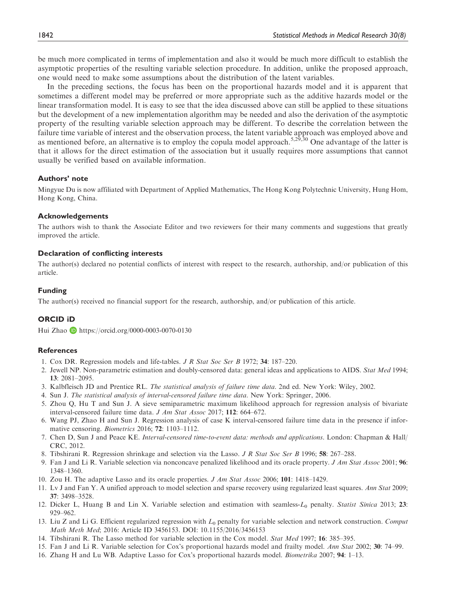be much more complicated in terms of implementation and also it would be much more difficult to establish the asymptotic properties of the resulting variable selection procedure. In addition, unlike the proposed approach, one would need to make some assumptions about the distribution of the latent variables.

In the preceding sections, the focus has been on the proportional hazards model and it is apparent that sometimes a different model may be preferred or more appropriate such as the additive hazards model or the linear transformation model. It is easy to see that the idea discussed above can still be applied to these situations but the development of a new implementation algorithm may be needed and also the derivation of the asymptotic property of the resulting variable selection approach may be different. To describe the correlation between the failure time variable of interest and the observation process, the latent variable approach was employed above and as mentioned before, an alternative is to employ the copula model approach.<sup>5,29,30</sup> One advantage of the latter is that it allows for the direct estimation of the association but it usually requires more assumptions that cannot usually be verified based on available information.

#### Authors' note

Mingyue Du is now affiliated with Department of Applied Mathematics, The Hong Kong Polytechnic University, Hung Hom, Hong Kong, China.

#### Acknowledgements

The authors wish to thank the Associate Editor and two reviewers for their many comments and suggestions that greatly improved the article.

## Declaration of conflicting interests

The author(s) declared no potential conflicts of interest with respect to the research, authorship, and/or publication of this article.

#### Funding

The author(s) received no financial support for the research, authorship, and/or publication of this article.

## ORCID iD

Hui Zhao **b** <https://orcid.org/0000-0003-0070-0130>

#### References

- 1. Cox DR. Regression models and life-tables. J R Stat Soc Ser B 1972; 34: 187–220.
- 2. Jewell NP. Non-parametric estimation and doubly-censored data: general ideas and applications to AIDS. Stat Med 1994; 13: 2081–2095.
- 3. Kalbfleisch JD and Prentice RL. The statistical analysis of failure time data. 2nd ed. New York: Wiley, 2002.
- 4. Sun J. The statistical analysis of interval-censored failure time data. New York: Springer, 2006.
- 5. Zhou Q, Hu T and Sun J. A sieve semiparametric maximum likelihood approach for regression analysis of bivariate interval-censored failure time data. J Am Stat Assoc 2017; 112: 664–672.
- 6. Wang PJ, Zhao H and Sun J. Regression analysis of case K interval-censored failure time data in the presence if informative censoring. Biometrics 2016; 72: 1103–1112.
- 7. Chen D, Sun J and Peace KE. Interval-censored time-to-event data: methods and applications. London: Chapman & Hall/ CRC, 2012.
- 8. Tibshirani R. Regression shrinkage and selection via the Lasso. J R Stat Soc Ser B 1996; 58: 267–288.
- 9. Fan J and Li R. Variable selection via nonconcave penalized likelihood and its oracle property. J Am Stat Assoc 2001; 96: 1348–1360.
- 10. Zou H. The adaptive Lasso and its oracle properties. J Am Stat Assoc 2006; 101: 1418–1429.
- 11. Lv J and Fan Y. A unified approach to model selection and sparse recovery using regularized least squares. Ann Stat 2009; 37: 3498–3528.
- 12. Dicker L, Huang B and Lin X. Variable selection and estimation with seamless-L<sub>0</sub> penalty. Statist Sinica 2013; 23: 929–962.
- 13. Liu Z and Li G. Efficient regularized regression with  $L_0$  penalty for variable selection and network construction. Comput Math Meth Med; 2016: Article ID 3456153. DOI: 10.1155/2016/3456153
- 14. Tibshirani R. The Lasso method for variable selection in the Cox model. Stat Med 1997; 16: 385–395.
- 15. Fan J and Li R. Variable selection for Cox's proportional hazards model and frailty model. Ann Stat 2002; 30: 74–99.
- 16. Zhang H and Lu WB. Adaptive Lasso for Cox's proportional hazards model. Biometrika 2007; 94: 1–13.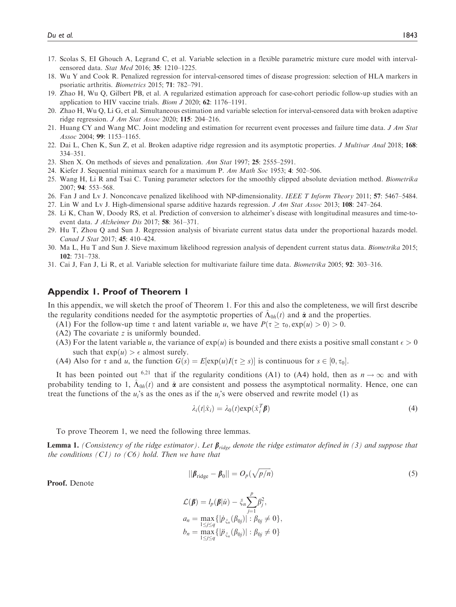- 17. Scolas S, EI Ghouch A, Legrand C, et al. Variable selection in a flexible parametric mixture cure model with intervalcensored data. Stat Med 2016; 35: 1210–1225.
- 18. Wu Y and Cook R. Penalized regression for interval-censored times of disease progression: selection of HLA markers in psoriatic arthritis. Biometrics 2015; 71: 782–791.
- 19. Zhao H, Wu Q, Gilbert PB, et al. A regularized estimation approach for case-cohort periodic follow-up studies with an application to HIV vaccine trials. Biom J 2020; 62: 1176–1191.
- 20. Zhao H, Wu Q, Li G, et al. Simultaneous estimation and variable selection for interval-censored data with broken adaptive ridge regression. J Am Stat Assoc 2020; 115: 204–216.
- 21. Huang CY and Wang MC. Joint modeling and estimation for recurrent event processes and failure time data. J Am Stat Assoc 2004; 99: 1153–1165.
- 22. Dai L, Chen K, Sun Z, et al. Broken adaptive ridge regression and its asymptotic properties. J Multivar Anal 2018; 168: 334–351.
- 23. Shen X. On methods of sieves and penalization. Ann Stat 1997; 25: 2555–2591.
- 24. Kiefer J. Sequential minimax search for a maximum P. Am Math Soc 1953; 4: 502–506.
- 25. Wang H, Li R and Tsai C. Tuning parameter selectors for the smoothly clipped absolute deviation method. Biometrika 2007; 94: 553–568.
- 26. Fan J and Lv J. Nonconcave penalized likelihood with NP-dimensionality. IEEE T Inform Theory 2011; 57: 5467–5484.
- 27. Lin W and Lv J. High-dimensional sparse additive hazards regression. J Am Stat Assoc 2013; 108: 247–264.
- 28. Li K, Chan W, Doody RS, et al. Prediction of conversion to alzheimer's disease with longitudinal measures and time-toevent data. J Alzheimer Dis 2017; 58: 361–371.
- 29. Hu T, Zhou Q and Sun J. Regression analysis of bivariate current status data under the proportional hazards model. Canad J Stat 2017; 45: 410–424.
- 30. Ma L, Hu T and Sun J. Sieve maximum likelihood regression analysis of dependent current status data. Biometrika 2015; 102: 731–738.
- 31. Cai J, Fan J, Li R, et al. Variable selection for multivariate failure time data. Biometrika 2005; 92: 303–316.

# Appendix 1. Proof of Theorem 1

In this appendix, we will sketch the proof of Theorem 1. For this and also the completeness, we will first describe the regularity conditions needed for the asymptotic properties of  $\Lambda_{0h}(t)$  and  $\hat{\alpha}$  and the properties.

- (A1) For the follow-up time  $\tau$  and latent variable u, we have  $P(\tau \ge \tau_0, \exp(u) > 0) > 0$ .<br>(A2) The covariate z is uniformly bounded
- (A2) The covariate z is uniformly bounded.
- (A3) For the latent variable u, the variance of  $exp(u)$  is bounded and there exists a positive small constant  $\epsilon > 0$ such that  $exp(u) > \epsilon$  almost surely.
- (A4) Also for  $\tau$  and  $u$ , the function  $G(s) = E[\exp(u)I(\tau \ge s)]$  is continuous for  $s \in [0, \tau_0]$ .

It has been pointed out <sup>6,21</sup> that if the regularity conditions (A1) to (A4) hold, then as  $n \to \infty$  and with probability tending to 1,  $\Lambda_{0h}(t)$  and  $\hat{\alpha}$  are consistent and possess the asymptotical normality. Hence, one can treat the functions of the  $u_i$ 's as the ones as if the  $u_i$ 's were observed and rewrite model (1) as

$$
\lambda_i(t|\hat{x}_i) = \lambda_0(t) \exp(\hat{x}_i^T \boldsymbol{\beta})
$$
\n(4)

To prove Theorem 1, we need the following three lemmas.

**Lemma 1.** (Consistency of the ridge estimator). Let  $\beta_{ridge}$  denote the ridge estimator defined in (3) and suppose that the conditions  $(Cl)$  to  $(C6)$  hold. Then we have that

$$
||\boldsymbol{\beta}_{\text{ridge}} - \boldsymbol{\beta}_0|| = O_p(\sqrt{p/n})
$$
\n(5)

Proof. Denote

$$
\mathcal{L}(\boldsymbol{\beta}) = l_p(\boldsymbol{\beta}|\hat{u}) - \xi_n \sum_{j=1}^p \beta_j^2,
$$
  
\n
$$
a_n = \max_{1 \le j \le q} \{ |\dot{p}_{\xi_n}(\beta_{0j})| : \beta_{0j} \neq 0 \},
$$
  
\n
$$
b_n = \max_{1 \le j \le q} \{ |\ddot{p}_{\xi_n}(\beta_{0j})| : \beta_{0j} \neq 0 \}
$$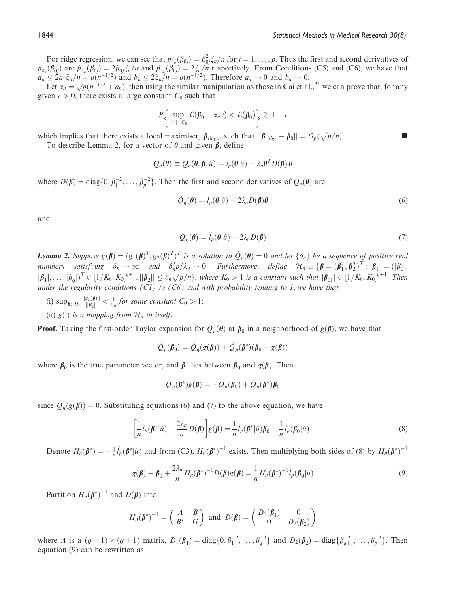For ridge regression, we can see that  $p_{\xi_n}(\beta_{0j}) = \beta_{0j}^2 \xi_n/n$  for  $j = 1, \ldots, p$ . Thus the first and second derivatives of  $(\beta_1)$  are  $p_n$ ,  $(\beta_2) = 2\beta_1 \xi/n$  and  $\tilde{n}_n$ ,  $(\beta_1) = 2\beta_1 \xi/n$  respectively. From Condition  $p_{\xi_n}(\beta_{0j})$  are  $p_{\xi_n}(\beta_{0j}) = 2\beta_{0j}\xi_n/n$  and  $\ddot{p}_{\xi_n}(\beta_{0j}) = 2\xi_n/n$  respectively. From Conditions (C5) and (C6), we have that  $\alpha_i \leq 2a_i \xi/n = o(n^{-1/2})$  and  $b_i \leq 2\xi/n = o(n^{-1/2})$ . Therefore  $a_i \to 0$  and  $b_i \to 0$  $a_n \leq 2a_1 \xi_n/n = o(n^{-1/2})$  and  $b_n \leq 2\xi_n/n = o(n^{-1/2})$ . Therefore  $a_n \to 0$  and  $b_n \to 0$ .<br>Let  $\alpha = \sqrt{n}(n^{-1/2} + a)$  then using the similar manipulation as those in Cai et al.

Let  $\alpha_n = \sqrt{p}(n^{-1/2} + a_n)$ , then using the similar manipulation as those in Cai et al.,<sup>31</sup> we can prove that, for any given  $\epsilon > 0$ , there exists a large constant  $C_0$  such that

$$
P\left\{\sup_{\|v\|=C_0}\mathcal{L}(\beta_0+\alpha_n v)<\mathcal{L}(\beta_0)\right\}\geq 1-\epsilon
$$

which implies that there exists a local maximiser,  $\beta_{\text{ridge}}$ , such that  $||\beta_{ridge} - \beta_0|| = O_p(\sqrt{p/n})$ .<br>To describe I emma 2 for a vector of  $\theta$  and given  $\beta$  define To describe Lemma 2, for a vector of  $\theta$  and given  $\beta$ , define

 $Q_n(\theta) \equiv Q_n(\theta; \beta, \hat{u}) = l_n(\theta|\hat{u}) - \lambda_n\theta^T D(\beta) \theta$ 

where  $D(\beta) = \text{diag}\{0, \beta_1^{-2}, \dots, \beta_p^{-2}\}\.$  Then the first and second derivatives of  $Q_n(\theta)$  are

$$
\dot{\mathcal{Q}}_n(\theta) = \dot{l}_p(\theta|\hat{u}) - 2\lambda_n D(\beta)\theta
$$
\n(6)

and

$$
\ddot{Q}_n(\theta) = \ddot{l}_p(\theta|\hat{u}) - 2\lambda_n D(\beta)
$$
\n(7)

**Lemma 2.** Suppose  $g(\boldsymbol{\beta}) = (g_1(\boldsymbol{\beta})^T, g_2(\boldsymbol{\beta})^T)^T$  is a solution to  $\dot{Q}_n(\boldsymbol{\theta}) = 0$  and let  $\{\delta_n\}$  be a sequence of positive real numbers existing  $S^2 \times \dot{S}^2$  is a solution to  $\dot{Q}_n(\boldsymbol{\theta}) = 0$  and let  $\{\delta_n\}$ numbers satisfying  $\delta_n \to \infty$  and  $\delta_n^2 p/\lambda_n \to 0$ . Furthermore, define  $\mathcal{H}_n \equiv {\beta = (\beta_1^T, \beta_2^T)^T : |\beta_1| = (|\beta_0|, |\beta_1| + |\beta_1|)^T \in [1/\kappa - \kappa]^{q+1}}$ halones satisfying  $\sigma_n \to \infty$  and  $\sigma_n p/\kappa_n \to \infty$ . Farmermore, define  $\kappa_n = \gamma \mathbf{p} - (\mathbf{p}_1, \mathbf{p}_2) \cdots |\mathbf{p}_1| - (\mathbf{p}_0)$ ;<br> $|\beta_1|, \ldots, |\beta_q| \rangle^T \in [1/K_0, K_0]^{q+1}, ||\beta_2|| \leq \delta_n \sqrt{p/n}$ , where  $K_0 > 1$  is a constant such that under the regularity conditions  $(C1)$  to  $(C6)$  and with probability tending to 1, we have that

- (i)  $\sup_{\beta \in H_n} \frac{\|g_2(\beta)\|}{\|\beta_2\|} < \frac{1}{C_0}$  for some constant  $C_0 > 1$ ;
- (ii)  $g(\cdot)$  is a mapping from  $\mathcal{H}_n$  to itself.

**Proof.** Taking the first-order Taylor expansion for  $\dot{Q}_n(\theta)$  at  $\beta_0$  in a neighborhood of  $g(\beta)$ , we have that

$$
\dot{Q}_n(\boldsymbol{\beta}_0) = \dot{Q}_n(g(\boldsymbol{\beta})) + \ddot{Q}_n(\boldsymbol{\beta}^*)(\boldsymbol{\beta}_0 - g(\boldsymbol{\beta}))
$$

where  $\beta_0$  is the true parameter vector, and  $\beta^*$  lies between  $\beta_0$  and  $g(\beta)$ . Then

$$
\ddot{Q}_n(\boldsymbol{\beta}^*)g(\boldsymbol{\beta})=-\dot{Q}_n(\boldsymbol{\beta}_0)+\ddot{Q}_n(\boldsymbol{\beta}^*)\boldsymbol{\beta}_0
$$

since  $\dot{Q}_n(g(\beta)) = 0$ . Substituting equations (6) and (7) to the above equation, we have

$$
\left[\frac{1}{n}\ddot{I}_p(\boldsymbol{\beta}^*|\hat{u}) - \frac{2\lambda_n}{n}D(\boldsymbol{\beta})\right]g(\boldsymbol{\beta}) = \frac{1}{n}\ddot{I}_p(\boldsymbol{\beta}^*|\hat{u})\boldsymbol{\beta}_0 - \frac{1}{n}\dot{I}_p(\boldsymbol{\beta}_0|\hat{u})
$$
\n(8)

Denote  $H_n(\beta^*) = -\frac{1}{n}\ddot{I}_p(\beta^*|\hat{u})$  and from (C3),  $H_n(\beta^*)^{-1}$  exists. Then multiplying both sides of (8) by  $H_n(\beta^*)^{-1}$ 

$$
g(\pmb{\beta}) - \pmb{\beta}_0 + \frac{2\lambda_n}{n} H_n(\pmb{\beta}^*)^{-1} D(\pmb{\beta}) g(\pmb{\beta}) = \frac{1}{n} H_n(\pmb{\beta}^*)^{-1} \dot{l}_p(\pmb{\beta}_0|\hat{u})
$$
\n(9)

Partition  $H_n(\boldsymbol{\beta}^*)^{-1}$  and  $D(\boldsymbol{\beta})$  into

$$
H_n(\pmb{\beta}^*)^{-1} = \begin{pmatrix} A & B \\ B^T & G \end{pmatrix} \text{ and } D(\pmb{\beta}) = \begin{pmatrix} D_1(\pmb{\beta}_1) & 0 \\ 0 & D_2(\pmb{\beta}_2) \end{pmatrix}
$$

where A is a  $(q+1) \times (q+1)$  matrix,  $D_1(\boldsymbol{\beta}_1) = \text{diag}\{0, \beta_1^{-2}, \dots, \beta_q^{-2}\}\$  and  $D_2(\boldsymbol{\beta}_2) = \text{diag}\{\beta_{q+1}^{-2}, \dots, \beta_p^{-2}\}\$ . Then equation (9) can be rewritten as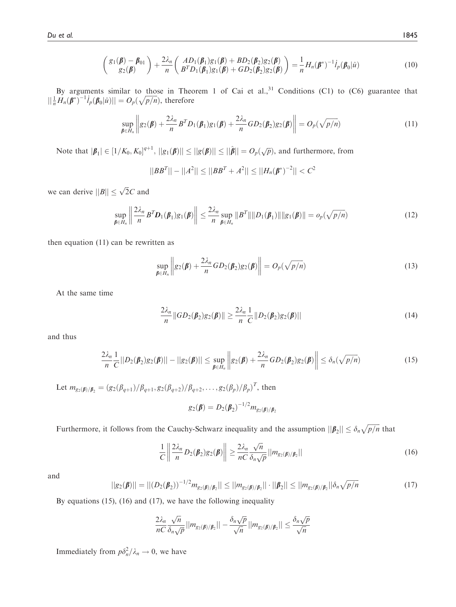$$
\begin{pmatrix} g_1(\pmb{\beta}) - \pmb{\beta}_{01} \\ g_2(\pmb{\beta}) \end{pmatrix} + \frac{2\lambda_n}{n} \begin{pmatrix} AD_1(\pmb{\beta}_1)g_1(\pmb{\beta}) + BD_2(\pmb{\beta}_2)g_2(\pmb{\beta}) \\ B^T D_1(\pmb{\beta}_1)g_1(\pmb{\beta}) + GD_2(\pmb{\beta}_2)g_2(\pmb{\beta}) \end{pmatrix} = \frac{1}{n} H_n(\pmb{\beta}^*)^{-1} \dot{l}_p(\pmb{\beta}_0|\hat{u})
$$
(10)

By arguments similar to those in Theorem 1 of Cai et al., $31$  Conditions (C1) to (C6) guarantee that  $||\frac{1}{n}H_n(\beta^*)^{-1}i_p(\beta_0|\hat{u})|| = O_p(\sqrt{p/n}),$  therefore

$$
\sup_{\boldsymbol{\beta}\in H_n} \left\| g_2(\boldsymbol{\beta}) + \frac{2\lambda_n}{n} B^T D_1(\boldsymbol{\beta}_1) g_1(\boldsymbol{\beta}) + \frac{2\lambda_n}{n} G D_2(\boldsymbol{\beta}_2) g_2(\boldsymbol{\beta}) \right\| = O_p(\sqrt{p/n})
$$
\n(11)

Note that  $|\boldsymbol{\beta}_1| \in [1/K_0, K_0]^{q+1}$ ,  $||g_1(\boldsymbol{\beta})|| \le ||g(\boldsymbol{\beta})|| \le ||\hat{\boldsymbol{\beta}}|| = O_p(\sqrt{p})$ , and furthermore, from

$$
||BBT|| - ||A2|| \le ||BBT + A2|| \le ||Hn(\beta*)-2|| < C2
$$

we can derive  $||B|| \leq \sqrt{2}C$  and

$$
\sup_{\boldsymbol{\beta}\in H_n}\left\|\frac{2\lambda_n}{n}B^T\boldsymbol{D}_1(\boldsymbol{\beta}_1)g_1(\boldsymbol{\beta})\right\|\leq \frac{2\lambda_n}{n}\sup_{\boldsymbol{\beta}\in H_n}\|B^T\|\|D_1(\boldsymbol{\beta}_1)\|\|g_1(\boldsymbol{\beta})\| = o_p(\sqrt{p/n})\tag{12}
$$

then equation (11) can be rewritten as

$$
\sup_{\boldsymbol{\beta}\in H_n} \left\| g_2(\boldsymbol{\beta}) + \frac{2\lambda_n}{n} GD_2(\boldsymbol{\beta}_2)g_2(\boldsymbol{\beta}) \right\| = O_p(\sqrt{p/n})
$$
\n(13)

At the same time

$$
\frac{2\lambda_n}{n} \|GD_2(\beta_2)g_2(\beta)\| \ge \frac{2\lambda_n}{n} \frac{1}{C} \|D_2(\beta_2)g_2(\beta)\|
$$
\n(14)

and thus

$$
\frac{2\lambda_n}{n}\frac{1}{C}||D_2(\boldsymbol{\beta}_2)g_2(\boldsymbol{\beta})|| - ||g_2(\boldsymbol{\beta})|| \leq \sup_{\boldsymbol{\beta} \in H_n} \left\| g_2(\boldsymbol{\beta}) + \frac{2\lambda_n}{n}GD_2(\boldsymbol{\beta}_2)g_2(\boldsymbol{\beta}) \right\| \leq \delta_n(\sqrt{p/n})
$$
\n(15)

Let  $m_{g_2(\beta)/\beta_2} = (g_2(\beta_{q+1})/\beta_{q+1}, g_2(\beta_{q+2})/\beta_{q+2}, \ldots, g_2(\beta_p)/\beta_p)^T$ , then

$$
g_2(\pmb{\beta})=D_2(\pmb{\beta}_2)^{-1/2}m_{g_2(\pmb{\beta})/\pmb{\beta}_2}
$$

Furthermore, it follows from the Cauchy-Schwarz inequality and the assumption  $||\boldsymbol{\beta}_2|| \leq \delta_n \sqrt{p/n}$  that

$$
\frac{1}{C} \left\| \frac{2\lambda_n}{n} D_2(\beta_2) g_2(\beta) \right\| \ge \frac{2\lambda_n}{nC} \frac{\sqrt{n}}{\delta_n \sqrt{p}} ||m_{g_2(\beta)/\beta_2}|| \tag{16}
$$

and

$$
||g_2(\boldsymbol{\beta})|| = ||(D_2(\boldsymbol{\beta}_2))^{-1/2} m_{g_2(\boldsymbol{\beta})/\boldsymbol{\beta}_2}|| \le ||m_{g_2(\boldsymbol{\beta})/\boldsymbol{\beta}_2}|| \cdot ||\boldsymbol{\beta}_2|| \le ||m_{g_2(\boldsymbol{\beta})/\boldsymbol{\beta}_2}||\delta_n \sqrt{p/n}
$$
\n(17)

By equations (15), (16) and (17), we have the following inequality

$$
\frac{2\lambda_n}{nC} \frac{\sqrt{n}}{\delta_n \sqrt{p}} ||m_{g_2(\beta)/\beta_2}|| - \frac{\delta_n \sqrt{p}}{\sqrt{n}} ||m_{g_2(\beta)/\beta_2}|| \leq \frac{\delta_n \sqrt{p}}{\sqrt{n}}
$$

Immediately from  $p\delta_n^2/\lambda_n \to 0$ , we have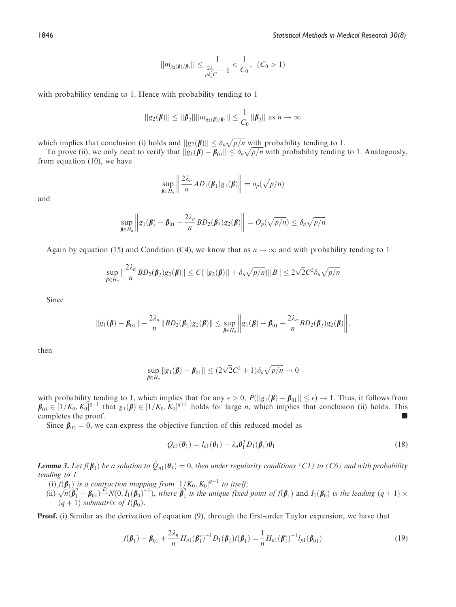$$
||m_{g_2(\beta)/\beta_2}|| \leq \frac{1}{\frac{2\lambda_n}{\rho \delta_n^2 C} - 1} < \frac{1}{C_0}, \quad (C_0 > 1)
$$

with probability tending to 1. Hence with probability tending to 1

$$
||g_2(\beta)|| \le ||\beta_2|| ||m_{g_2(\beta)/\beta_2}|| \le \frac{1}{C_0} ||\beta_2|| \text{ as } n \to \infty
$$

which implies that conclusion (i) holds and  $||g_2(\boldsymbol{\beta})|| \leq \delta_n \sqrt{p/n}$  with probability tending to 1.<br>To prove (ii) we only need to verify that  $||g_1(\boldsymbol{\beta}) - \boldsymbol{B}_{\infty}|| \leq \delta_n \sqrt{p/n}$  with probability tending

To prove (ii), we only need to verify that  $||g_1(\boldsymbol{\beta}) - \boldsymbol{\beta}_{01}|| \leq \delta_n \sqrt{p/n}$  with probability tending to 1. Analogously,<br>one equation (10), we have from equation (10), we have

$$
\sup_{\boldsymbol{\beta}\in H_n}\left\|\frac{2\lambda_n}{n}AD_1(\boldsymbol{\beta}_1)g_1(\boldsymbol{\beta})\right\| = o_p(\sqrt{p/n})
$$

and

$$
\sup_{\boldsymbol{\beta}\in H_n}\left\|g_1(\boldsymbol{\beta})-\boldsymbol{\beta}_{01}+\frac{2\lambda_n}{n}BD_2(\boldsymbol{\beta}_2)g_2(\boldsymbol{\beta})\right\|=O_p(\sqrt{p/n})\leq \delta_n\sqrt{p/n}
$$

Again by equation (15) and Condition (C4), we know that as  $n \to \infty$  and with probability tending to 1

$$
\sup_{\beta\in H_n}\|\frac{2\lambda_n}{n}BD_2(\beta_2)g_2(\beta)\|\leq C(||g_2(\beta)||+\delta_n\sqrt{p/n})||B||\leq 2\sqrt{2}C^2\delta_n\sqrt{p/n}
$$

Since

$$
\|g_1(\boldsymbol{\beta})-\boldsymbol{\beta}_{01}\|-\frac{2\lambda_n}{n}\|BD_2(\boldsymbol{\beta}_2)g_2(\boldsymbol{\beta})\|\leq \sup_{\boldsymbol{\beta}\in H_n}\bigg\|g_1(\boldsymbol{\beta})-\boldsymbol{\beta}_{01}+\frac{2\lambda_n}{n}BD_2(\boldsymbol{\beta}_2)g_2(\boldsymbol{\beta})\bigg\|,
$$

then

$$
\sup_{\boldsymbol{\beta}\in H_n} \|g_1(\boldsymbol{\beta}) - \boldsymbol{\beta}_{01}\| \leq (2\sqrt{2}C^2 + 1)\delta_n\sqrt{p/n} \to 0
$$

with probability tending to 1, which implies that for any  $\epsilon > 0$ ,  $P(||g_1(\beta) - \beta_{01}|| \le \epsilon) \to 1$ . Thus, it follows from  $g_{\epsilon} \in [1/K_0, K_0]^{\epsilon+1}$  that  $g_1(\beta) \in [1/K_0, K_0]^{\epsilon+1}$  holds for large *n*, which implies that conclus  $\beta_{01} \in [1/K_0, K_0]^{q+1}$  that  $g_1(\beta) \in [1/K_0, K_0]^{q+1}$  holds for large *n*, which implies that conclusion (ii) holds. This completes the proof.

Since  $\beta_{02} = 0$ , we can express the objective function of this reduced model as

$$
Q_{n1}(\theta_1) = l_{p1}(\theta_1) - \lambda_n \theta_1^T D_1(\beta_1) \theta_1
$$
\n(18)

**Lemma 3.** Let  $f(\boldsymbol{\beta}_1)$  be a solution to  $\dot{Q}_{n1}(\boldsymbol{\theta}_1) = 0$ , then under regularity conditions (C1) to (C6) and with probability tending to 1 tending to 1

- (i)  $f(\boldsymbol{\beta}_1)$  is a contraction mapping from  $[1/K_0, K_0]^{q+1}$  to itself;<br>ii)  $\sqrt{n}(\hat{\boldsymbol{\beta}}^0 \boldsymbol{\beta}_{\infty}) \stackrel{D}{\longrightarrow} N(0, L(\boldsymbol{\beta}_{\infty})^{-1})$ , where  $\hat{\boldsymbol{\beta}}^0$  is the unique fixed
- (ii)  $\sqrt{n}(\hat{\beta}_1 \beta_{01}) \stackrel{D}{\rightarrow} N(0, I_1(\beta_0)^{-1})$ , where  $\hat{\beta}_1^o$  is the unique fixed point of  $f(\beta_1)$  and  $I_1(\beta_0)$  is the leading  $(q+1) \times$ <br>(a+1) submatrix of  $I(\beta_0)$  $(q+1)$  submatrix of  $I(\boldsymbol{\beta}_0)$ .

Proof. (i) Similar as the derivation of equation (9), through the first-order Taylor expansion, we have that

$$
f(\boldsymbol{\beta}_1) - \boldsymbol{\beta}_{01} + \frac{2\lambda_n}{n} H_{n1}(\boldsymbol{\beta}_1^*)^{-1} D_1(\boldsymbol{\beta}_1) f(\boldsymbol{\beta}_1) = \frac{1}{n} H_{n1}(\boldsymbol{\beta}_1^*)^{-1} i_{p1}(\boldsymbol{\beta}_{01})
$$
\n(19)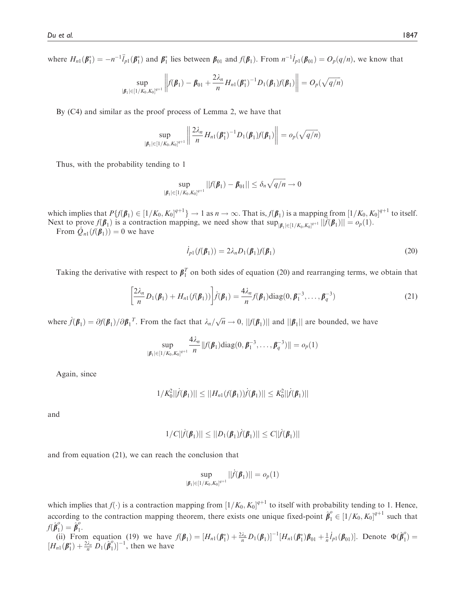where  $H_{n1}(\boldsymbol{\beta}_1^*) = -n^{-1}\ddot{I}_{p1}(\boldsymbol{\beta}_1^*)$  and  $\boldsymbol{\beta}_1^*$  lies between  $\boldsymbol{\beta}_{01}$  and  $f(\boldsymbol{\beta}_1)$ . From  $n^{-1}\dot{I}_{p1}(\boldsymbol{\beta}_{01}) = O_p(q/n)$ , we know that

$$
\sup_{|\boldsymbol{\beta}_1| \in [1/K_0, K_0]^{q+1}} \left\| f(\boldsymbol{\beta}_1) - \boldsymbol{\beta}_{01} + \frac{2\lambda_n}{n} H_{n1}(\boldsymbol{\beta}_1^*)^{-1} D_1(\boldsymbol{\beta}_1) f(\boldsymbol{\beta}_1) \right\| = O_p(\sqrt{q/n})
$$

By (C4) and similar as the proof process of Lemma 2, we have that

$$
\sup_{|\boldsymbol{\beta}_1| \in [1/K_0, K_0]^{q+1}} \left\| \frac{2\lambda_n}{n} H_{n1}(\boldsymbol{\beta}_1^*)^{-1} D_1(\boldsymbol{\beta}_1) f(\boldsymbol{\beta}_1) \right\| = o_p(\sqrt{q/n})
$$

Thus, with the probability tending to 1

$$
\sup_{|\pmb{\beta}_1| \in [1/K_0, K_0]^{q+1}} ||f(\pmb{\beta}_1) - \pmb{\beta}_{01}|| \leq \delta_n \sqrt{q/n} \to 0
$$

which implies that  $P\{f(\boldsymbol{\beta}_1) \in [1/K_0, K_0]^{q+1}\} \to 1$  as  $n \to \infty$ . That is,  $f(\boldsymbol{\beta}_1)$  is a mapping from  $[1/K_0, K_0]^{q+1}$  to itself.<br>Next to prove  $f(\boldsymbol{\beta}_1)$  is a contraction mapping, we need show that superintendent Next to prove  $f(\boldsymbol{\beta}_1)$  is a contraction mapping, we need show that  $\sup_{|\boldsymbol{\beta}_1| \in [1/K_0, K_0]^{d+1}} |\tilde{f}(\boldsymbol{\beta}_1)| = o_p(1)$ .<br>From  $\tilde{Q}_+(f(\boldsymbol{\beta}_1)) = 0$  we have

From  $\dot{Q}_{n1}(f(\beta_1)) = 0$  we have

$$
\dot{l}_{p1}(f(\boldsymbol{\beta}_1)) = 2\lambda_n D_1(\boldsymbol{\beta}_1)f(\boldsymbol{\beta}_1)
$$
\n(20)

Taking the derivative with respect to  $\beta_1^T$  on both sides of equation (20) and rearranging terms, we obtain that

$$
\left[\frac{2\lambda_n}{n}D_1(\beta_1) + H_{n1}(f(\beta_1))\right] \dot{f}(\beta_1) = \frac{4\lambda_n}{n} f(\beta_1) \text{diag}(0, \beta_1^{-3}, \dots, \beta_q^{-3})
$$
\n(21)

where  $\dot{f}(\beta_1) = \partial f(\beta_1) / \partial \beta_1^T$ . From the fact that  $\lambda_n/\sqrt{n} \to 0$ ,  $||f(\beta_1)||$  and  $||\beta_1||$  are bounded, we have

$$
\sup_{|\boldsymbol{\beta}_1| \in [1/K_0, K_0]^{q+1}} \frac{4\lambda_n}{n} ||f(\boldsymbol{\beta}_1) \text{diag}(0, \boldsymbol{\beta}_1^{-3}, \dots, \boldsymbol{\beta}_q^{-3})|| = o_p(1)
$$

Again, since

$$
1/K_0^2||\dot{f}(\beta_1)|| \leq ||H_{n1}(f(\beta_1))\dot{f}(\beta_1)|| \leq K_0^2||\dot{f}(\beta_1)||
$$

and

$$
1/C||\dot{f}(\beta_1)|| \leq ||D_1(\beta_1)\dot{f}(\beta_1)|| \leq C||\dot{f}(\beta_1)||
$$

and from equation (21), we can reach the conclusion that

$$
\sup_{|\boldsymbol{\beta}_1| \in [1/K_0, K_0]^{q+1}} | |\dot{f}(\boldsymbol{\beta}_1)| | = o_p(1)
$$

which implies that  $f(\cdot)$  is a contraction mapping from  $[1/K_0, K_0]^{q+1}$  to itself with probability tending to 1. Hence, according to the contraction mapping theorem, there exists one unique fixed-point  $\hat{\beta}_1^o \in [1/K_0, K_0]^{q+1}$  such that  $f(\hat{\boldsymbol{\beta}}_1^o) = \hat{\boldsymbol{\beta}}_1^o$  $f(\hat{\boldsymbol{\beta}}_1^{\nu}) = \hat{\boldsymbol{\beta}}_1^{\nu}.$ 

(ii) From equation (19) we have  $f(\mathbf{\beta}_1) = [H_{n1}(\mathbf{\beta}_1^*) + \frac{2\lambda_n}{n} D_1(\mathbf{\beta}_1)]^{-1} [H_{n1}(\mathbf{\beta}_1^*) \mathbf{\beta}_{01} + \frac{1}{n} l_{p1}(\mathbf{\beta}_{01})]$ . Denote  $\Phi(\hat{\mathbf{\beta}}_1^0) = [H_{n1}(\mathbf{\beta}_1^*) + \frac{2\lambda_n}{n} D_1(\hat{\mathbf{\beta}}_1^0)]^{-1}$ , then we have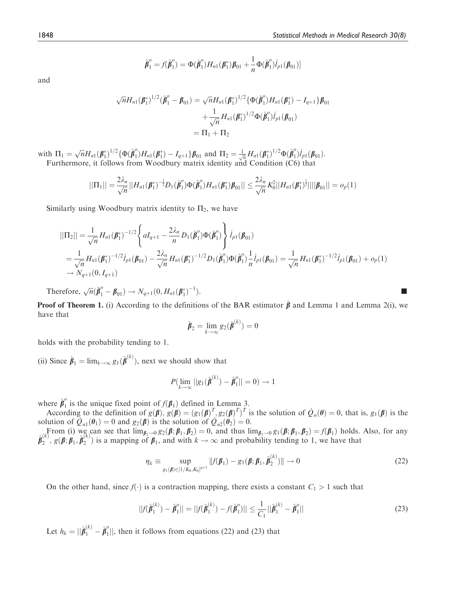$$
\hat{\boldsymbol{\beta}}_1^o = f(\hat{\boldsymbol{\beta}}_1^o) = \Phi(\hat{\boldsymbol{\beta}}_1^o) H_{n1}(\boldsymbol{\beta}_1^*) \boldsymbol{\beta}_{01} + \frac{1}{n} \Phi(\hat{\boldsymbol{\beta}}_1^o) \boldsymbol{i}_{p1}(\boldsymbol{\beta}_{01})]
$$

and

$$
\sqrt{n}H_{n1}(\beta_1^*)^{1/2}(\hat{\beta}_1^o - \beta_{01}) = \sqrt{n}H_{n1}(\beta_1^*)^{1/2}\{\Phi(\hat{\beta}_1^o)H_{n1}(\beta_1^*) - I_{q+1}\}\beta_{01}
$$

$$
+ \frac{1}{\sqrt{n}}H_{n1}(\beta_1^*)^{1/2}\Phi(\hat{\beta}_1^o)\dot{I}_{p1}(\beta_{01})
$$

$$
= \Pi_1 + \Pi_2
$$

with  $\Pi_1 = \sqrt{n} H_{n1}(\boldsymbol{\beta}_1^*)^{1/2} {\Phi(\hat{\boldsymbol{\beta}}_1^0) H_{n1}(\boldsymbol{\beta}_1^*) - I_{q+1} \} \boldsymbol{\beta}_{01}$  and  $\Pi_2 = \frac{1}{\sqrt{n}} H_{n1}(\boldsymbol{\beta}_1^*)^{1/2} \Phi(\hat{\boldsymbol{\beta}}_1^0) \boldsymbol{i}_{p1}(\boldsymbol{\beta}_{01}).$ <br>Furthermore, it follows from Woodbury matrix identity and Conditio

$$
||\Pi_1|| = \frac{2\lambda_n}{\sqrt{n}}||H_{n1}(\boldsymbol{\beta}_1^*)^{-\frac{1}{2}}D_1(\hat{\boldsymbol{\beta}}_1^o)\Phi(\hat{\boldsymbol{\beta}}_1^o)H_{n1}(\boldsymbol{\beta}_1^*)\boldsymbol{\beta}_{01}|| \leq \frac{2\lambda_n}{\sqrt{n}}K_0^2||H_{n1}(\boldsymbol{\beta}_1^*)^{\frac{1}{2}}||||\boldsymbol{\beta}_{01}|| = o_p(1)
$$

Similarly using Woodbury matrix identity to  $\Pi_2$ , we have

$$
\begin{split}\n||\Pi_{2}|| &= \frac{1}{\sqrt{n}} H_{n1}(\boldsymbol{\beta}_{1}^{*})^{-1/2} \left\{ aI_{q+1} - \frac{2\lambda_{n}}{n} D_{1}(\hat{\boldsymbol{\beta}}_{1}^{o}) \Phi(\hat{\boldsymbol{\beta}}_{1}^{o}) \right\} i_{p1}(\boldsymbol{\beta}_{01}) \\
&= \frac{1}{\sqrt{n}} H_{n1}(\boldsymbol{\beta}_{1}^{*})^{-1/2} i_{p1}(\boldsymbol{\beta}_{01}) - \frac{2\lambda_{n}}{\sqrt{n}} H_{n1}(\boldsymbol{\beta}_{1}^{*})^{-1/2} D_{1}(\hat{\boldsymbol{\beta}}_{1}^{o}) \Phi(\hat{\boldsymbol{\beta}}_{1}^{o}) \frac{1}{n} i_{p1}(\boldsymbol{\beta}_{01}) = \frac{1}{\sqrt{n}} H_{n1}(\boldsymbol{\beta}_{1}^{*})^{-1/2} i_{p1}(\boldsymbol{\beta}_{01}) + o_{p}(1) \\
&\to N_{q+1}(0, I_{q+1})\n\end{split}
$$

Therefore,  $\sqrt{n}(\hat{\beta}_1^o - \beta_{01}) \to N_{q+1}(0, H_{n1}(\beta_1^*)^{-1})$ 

 $\blacksquare$ **Proof of Theorem 1.** (i) According to the definitions of the BAR estimator  $\hat{\beta}$  and Lemma 1 and Lemma 2(i), we have that

$$
\hat{\boldsymbol{\beta}}_2 = \lim_{k \to \infty} g_2(\hat{\boldsymbol{\beta}}^{(k)}) = 0
$$

holds with the probability tending to 1.

(ii) Since  $\hat{\beta}_1 = \lim_{k \to \infty} g_1(\hat{\beta}^{(k)})$ , next we should show that

$$
P(\lim_{k\to\infty}||g_1(\hat{\boldsymbol{\beta}}^{(k)})-\hat{\boldsymbol{\beta}}_1^o||=0)\to 1
$$

where  $\hat{\beta}_1^o$  is the unique fixed point of  $f(\beta_1)$  defined in Lemma 3.<br>According to the definition of  $g(\beta)$ ,  $g(\beta) = (g_1(\beta))^T g_2(\beta)^T$ .

According to the definition of  $g(\boldsymbol{\beta})$ ,  $g(\boldsymbol{\beta}) = (g_1(\boldsymbol{\beta})^T, g_2(\boldsymbol{\beta})^T)$ According to the definition of  $g(\beta)$ ,  $g(\beta) = (g_1(\beta)^T, g_2(\beta)^T)^T$  is the solution of  $\dot{Q}_n(\theta) = 0$ , that is,  $g_1(\beta)$  is the solution of  $\dot{Q}_n(\theta) = 0$ .<br>
From (i) we can see that  $\lim_{\theta \to 0} g_2(\beta; \beta, \beta_0) = 0$  and thus  $\lim$ 

From (i) we can see that  $\lim_{\beta_2 \to 0} g_2(\beta; \beta_1, \beta_2) = 0$ , and thus  $\lim_{\beta_2 \to 0} g_1(\beta; \beta_1, \beta_2) = f(\beta_1)$  holds. Also, for any  $\hat{\beta}_2^{(k)}$ ,  $g(\beta; \beta_1, \hat{\beta}_2^{(k)})$  is a mapping of  $\beta_1$ , and with  $k \to \infty$  and probability

$$
\eta_k \equiv \sup_{g_1(\boldsymbol{\beta}) \in [1/K_0, K_0]^{q+1}} ||f(\boldsymbol{\beta}_1) - g_1(\boldsymbol{\beta}; \boldsymbol{\beta}_1, \hat{\boldsymbol{\beta}}_2^{(k)})|| \to 0 \tag{22}
$$

On the other hand, since  $f(\cdot)$  is a contraction mapping, there exists a constant  $C_1 > 1$  such that

$$
||f(\hat{\boldsymbol{\beta}}_1^{(k)}) - \hat{\boldsymbol{\beta}}_1^{o}|| = ||f(\hat{\boldsymbol{\beta}}_1^{(k)}) - f(\hat{\boldsymbol{\beta}}_1^{o})|| \le \frac{1}{C_1} ||\hat{\boldsymbol{\beta}}_1^{(k)} - \hat{\boldsymbol{\beta}}_1^{o}||
$$
\n(23)

Let  $h_k = ||\hat{\boldsymbol{\beta}}_1^{(k)} - \hat{\boldsymbol{\beta}}_1^{o}||$ , then it follows from equations (22) and (23) that